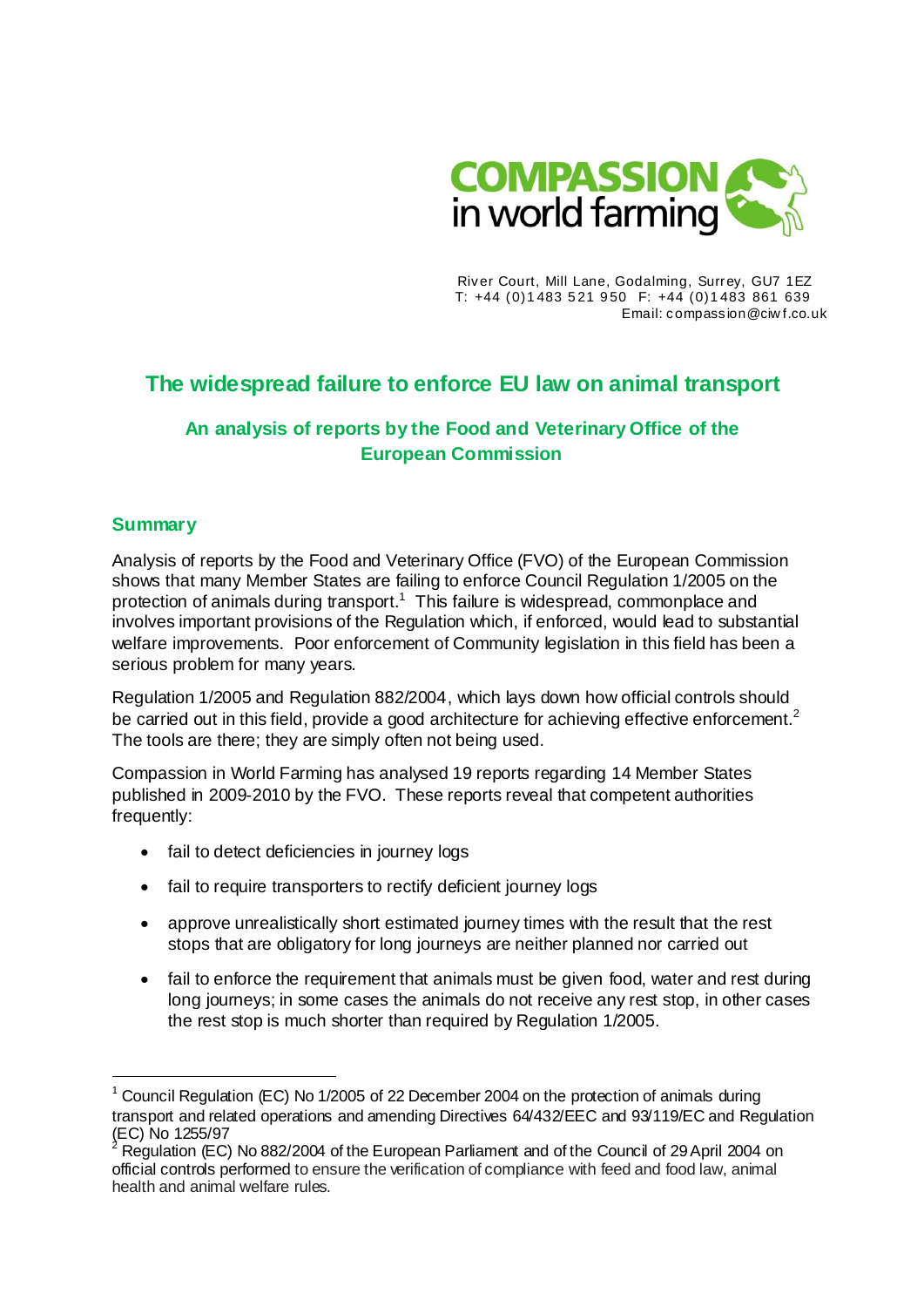

River Court, Mill Lane, Godalming, Surrey, GU7 1EZ T: +44 (0)1 483 5 21 9 50 F: +44 (0)1 483 861 639 Email: compassion@ciw f.co.uk

# **The widespread failure to enforce EU law on animal transport**

# **An analysis of reports by the Food and Veterinary Office of the European Commission**

# **Summary**

 $\overline{a}$ 

Analysis of reports by the Food and Veterinary Office (FVO) of the European Commission shows that many Member States are failing to enforce Council Regulation 1/2005 on the protection of animals during transport.<sup>1</sup> This failure is widespread, commonplace and involves important provisions of the Regulation which, if enforced, would lead to substantial welfare improvements. Poor enforcement of Community legislation in this field has been a serious problem for many years.

Regulation 1/2005 and Regulation 882/2004, which lays down how official controls should be carried out in this field, provide a good architecture for achieving effective enforcement.<sup>2</sup> The tools are there; they are simply often not being used.

Compassion in World Farming has analysed 19 reports regarding 14 Member States published in 2009-2010 by the FVO. These reports reveal that competent authorities frequently:

- fail to detect deficiencies in journey logs
- fail to require transporters to rectify deficient journey logs
- approve unrealistically short estimated journey times with the result that the rest stops that are obligatory for long journeys are neither planned nor carried out
- fail to enforce the requirement that animals must be given food, water and rest during long journeys; in some cases the animals do not receive any rest stop, in other cases the rest stop is much shorter than required by Regulation 1/2005.

<sup>1</sup> Council Regulation (EC) No 1/2005 of 22 December 2004 on the protection of animals during transport and related operations and amending Directives 64/432/EEC and 93/119/EC and Regulation (EC) No 1255/97

<sup>2</sup> Regulation (EC) No 882/2004 of the European Parliament and of the Council of 29 April 2004 on official controls performed to ensure the verification of compliance with feed and food law, animal health and animal welfare rules.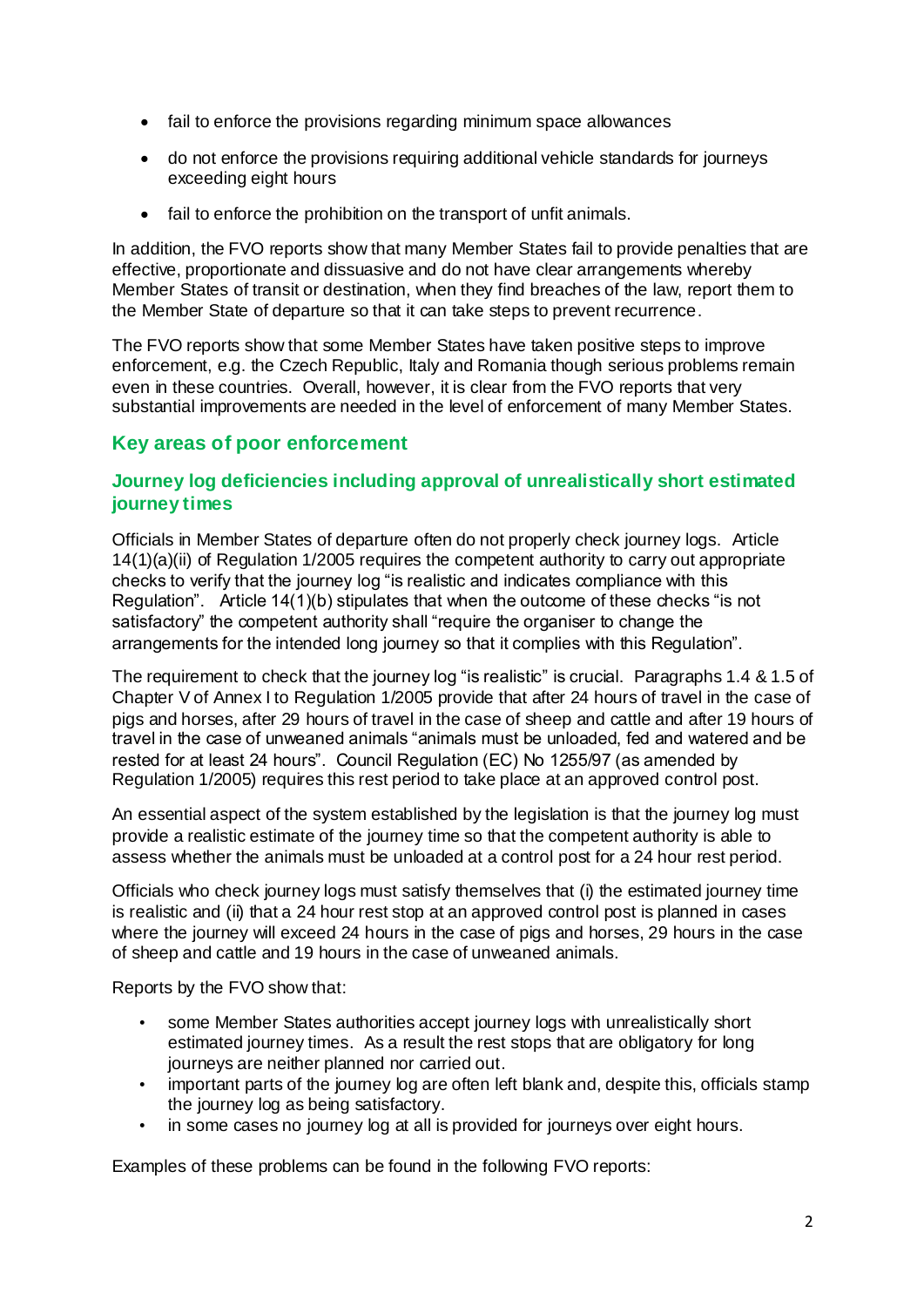- fail to enforce the provisions regarding minimum space allowances
- do not enforce the provisions requiring additional vehicle standards for journeys exceeding eight hours
- fail to enforce the prohibition on the transport of unfit animals.

In addition, the FVO reports show that many Member States fail to provide penalties that are effective, proportionate and dissuasive and do not have clear arrangements whereby Member States of transit or destination, when they find breaches of the law, report them to the Member State of departure so that it can take steps to prevent recurrence.

The FVO reports show that some Member States have taken positive steps to improve enforcement, e.g. the Czech Republic, Italy and Romania though serious problems remain even in these countries. Overall, however, it is clear from the FVO reports that very substantial improvements are needed in the level of enforcement of many Member States.

# **Key areas of poor enforcement**

# **Journey log deficiencies including approval of unrealistically short estimated journey times**

Officials in Member States of departure often do not properly check journey logs. Article 14(1)(a)(ii) of Regulation 1/2005 requires the competent authority to carry out appropriate checks to verify that the journey log "is realistic and indicates compliance with this Regulation". Article 14(1)(b) stipulates that when the outcome of these checks "is not satisfactory" the competent authority shall "require the organiser to change the arrangements for the intended long journey so that it complies with this Regulation".

The requirement to check that the journey log "is realistic" is crucial. Paragraphs 1.4 & 1.5 of Chapter V of Annex I to Regulation 1/2005 provide that after 24 hours of travel in the case of pigs and horses, after 29 hours of travel in the case of sheep and cattle and after 19 hours of travel in the case of unweaned animals "animals must be unloaded, fed and watered and be rested for at least 24 hours". Council Regulation (EC) No 1255/97 (as amended by Regulation 1/2005) requires this rest period to take place at an approved control post.

An essential aspect of the system established by the legislation is that the journey log must provide a realistic estimate of the journey time so that the competent authority is able to assess whether the animals must be unloaded at a control post for a 24 hour rest period.

Officials who check journey logs must satisfy themselves that (i) the estimated journey time is realistic and (ii) that a 24 hour rest stop at an approved control post is planned in cases where the journey will exceed 24 hours in the case of pigs and horses, 29 hours in the case of sheep and cattle and 19 hours in the case of unweaned animals.

Reports by the FVO show that:

- some Member States authorities accept journey logs with unrealistically short estimated journey times. As a result the rest stops that are obligatory for long journeys are neither planned nor carried out.
- important parts of the journey log are often left blank and, despite this, officials stamp the journey log as being satisfactory.
- in some cases no journey log at all is provided for journeys over eight hours.

Examples of these problems can be found in the following FVO reports: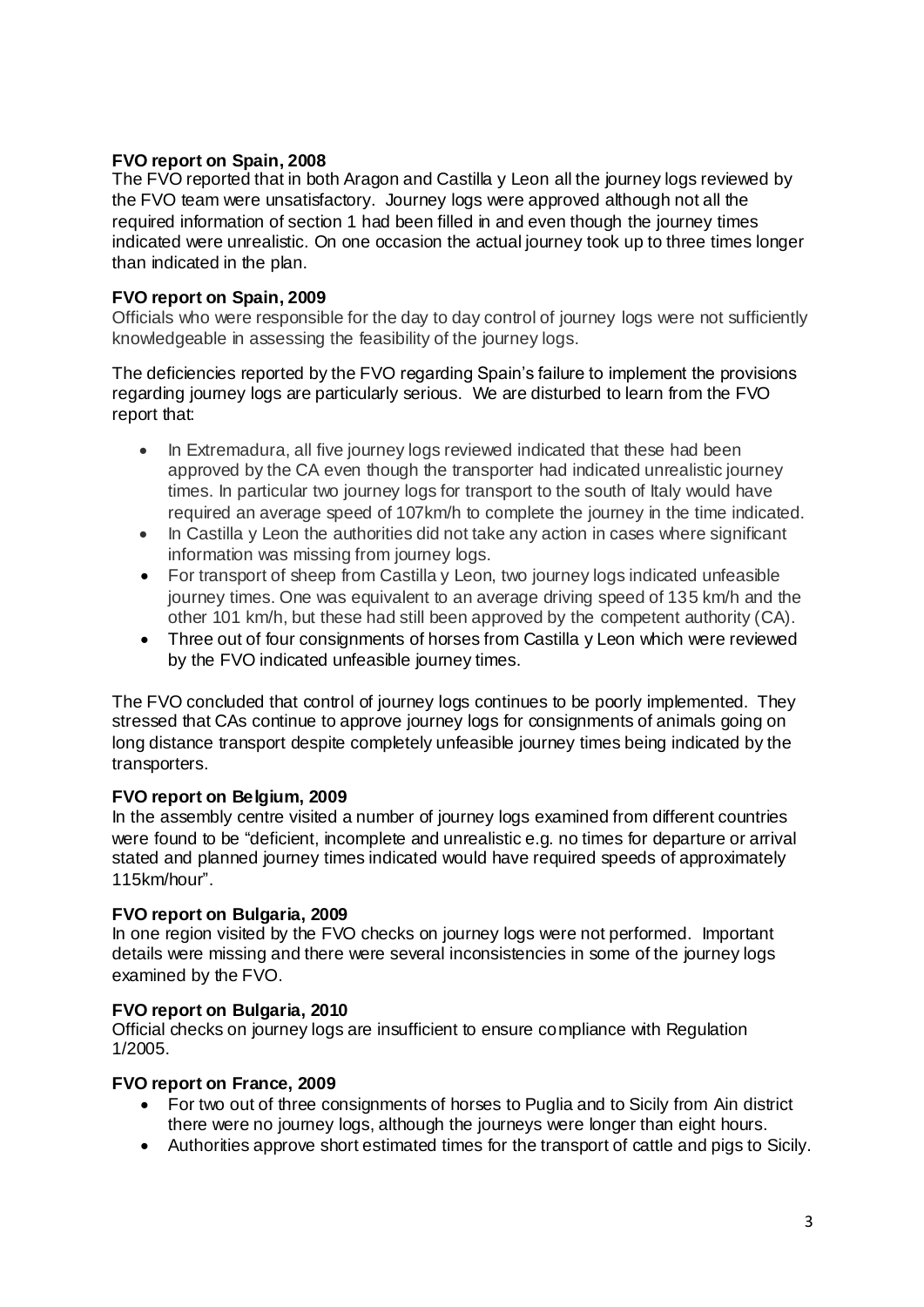# **FVO report on Spain, 2008**

The FVO reported that in both Aragon and Castilla y Leon all the journey logs reviewed by the FVO team were unsatisfactory. Journey logs were approved although not all the required information of section 1 had been filled in and even though the journey times indicated were unrealistic. On one occasion the actual journey took up to three times longer than indicated in the plan.

# **FVO report on Spain, 2009**

Officials who were responsible for the day to day control of journey logs were not sufficiently knowledgeable in assessing the feasibility of the journey logs.

The deficiencies reported by the FVO regarding Spain's failure to implement the provisions regarding journey logs are particularly serious. We are disturbed to learn from the FVO report that:

- In Extremadura, all five journey logs reviewed indicated that these had been approved by the CA even though the transporter had indicated unrealistic journey times. In particular two journey logs for transport to the south of Italy would have required an average speed of 107km/h to complete the journey in the time indicated.
- In Castilla y Leon the authorities did not take any action in cases where significant information was missing from journey logs.
- For transport of sheep from Castilla y Leon, two journey logs indicated unfeasible journey times. One was equivalent to an average driving speed of 135 km/h and the other 101 km/h, but these had still been approved by the competent authority (CA).
- Three out of four consignments of horses from Castilla y Leon which were reviewed by the FVO indicated unfeasible journey times.

The FVO concluded that control of journey logs continues to be poorly implemented. They stressed that CAs continue to approve journey logs for consignments of animals going on long distance transport despite completely unfeasible journey times being indicated by the transporters.

# **FVO report on Belgium, 2009**

In the assembly centre visited a number of journey logs examined from different countries were found to be "deficient, incomplete and unrealistic e.g. no times for departure or arrival stated and planned journey times indicated would have required speeds of approximately 115km/hour".

# **FVO report on Bulgaria, 2009**

In one region visited by the FVO checks on journey logs were not performed. Important details were missing and there were several inconsistencies in some of the journey logs examined by the FVO.

### **FVO report on Bulgaria, 2010**

Official checks on journey logs are insufficient to ensure compliance with Regulation 1/2005.

# **FVO report on France, 2009**

- For two out of three consignments of horses to Puglia and to Sicily from Ain district there were no journey logs, although the journeys were longer than eight hours.
- Authorities approve short estimated times for the transport of cattle and pigs to Sicily.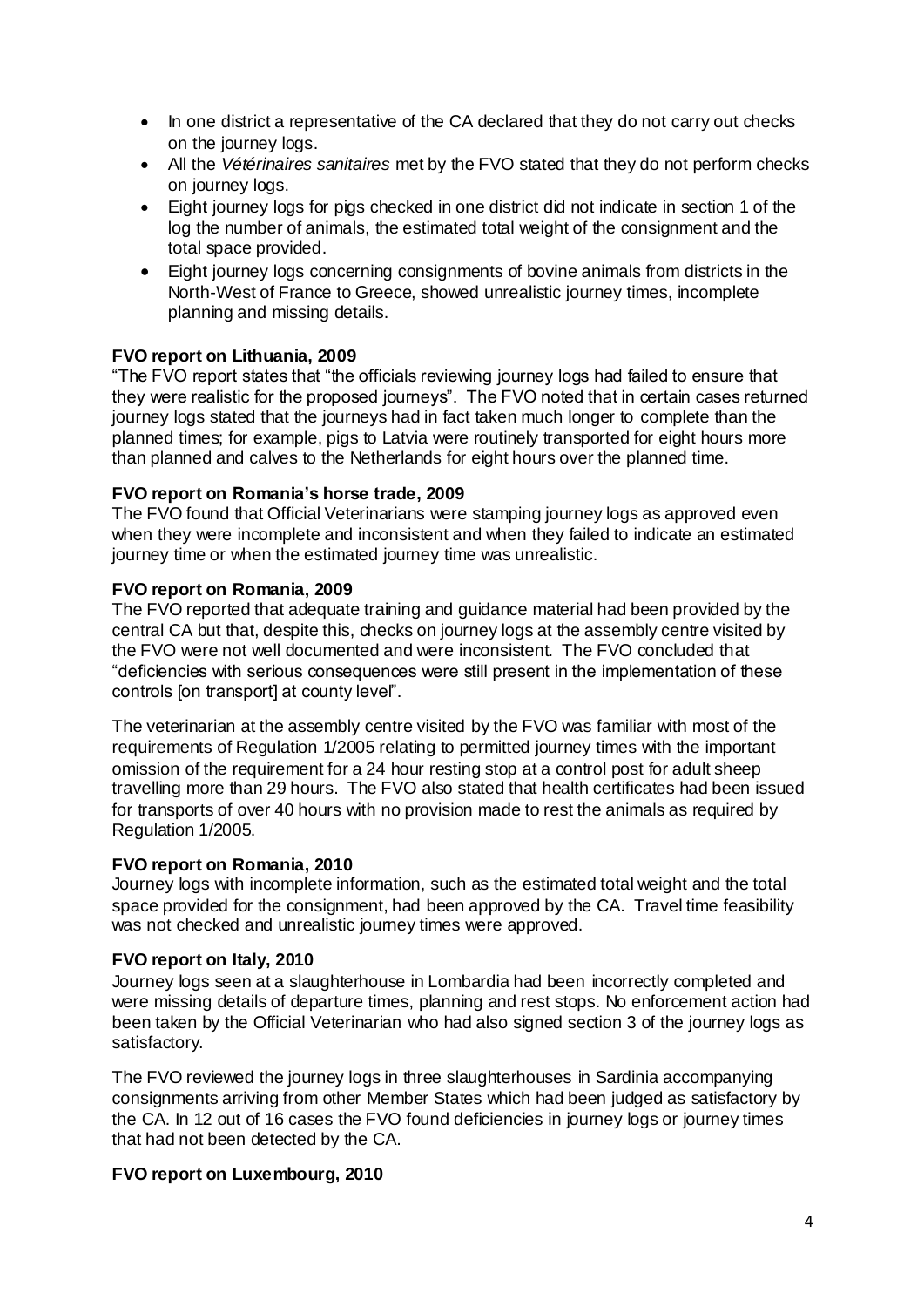- In one district a representative of the CA declared that they do not carry out checks on the journey logs.
- All the *Vétérinaires sanitaires* met by the FVO stated that they do not perform checks on journey logs.
- Eight journey logs for pigs checked in one district did not indicate in section 1 of the log the number of animals, the estimated total weight of the consignment and the total space provided.
- Eight journey logs concerning consignments of bovine animals from districts in the North-West of France to Greece, showed unrealistic journey times, incomplete planning and missing details.

### **FVO report on Lithuania, 2009**

"The FVO report states that "the officials reviewing journey logs had failed to ensure that they were realistic for the proposed journeys". The FVO noted that in certain cases returned journey logs stated that the journeys had in fact taken much longer to complete than the planned times; for example, pigs to Latvia were routinely transported for eight hours more than planned and calves to the Netherlands for eight hours over the planned time.

### **FVO report on Romania's horse trade, 2009**

The FVO found that Official Veterinarians were stamping journey logs as approved even when they were incomplete and inconsistent and when they failed to indicate an estimated journey time or when the estimated journey time was unrealistic.

### **FVO report on Romania, 2009**

The FVO reported that adequate training and guidance material had been provided by the central CA but that, despite this, checks on journey logs at the assembly centre visited by the FVO were not well documented and were inconsistent. The FVO concluded that "deficiencies with serious consequences were still present in the implementation of these controls [on transport] at county level".

The veterinarian at the assembly centre visited by the FVO was familiar with most of the requirements of Regulation 1/2005 relating to permitted journey times with the important omission of the requirement for a 24 hour resting stop at a control post for adult sheep travelling more than 29 hours. The FVO also stated that health certificates had been issued for transports of over 40 hours with no provision made to rest the animals as required by Regulation 1/2005.

### **FVO report on Romania, 2010**

Journey logs with incomplete information, such as the estimated total weight and the total space provided for the consignment, had been approved by the CA. Travel time feasibility was not checked and unrealistic journey times were approved.

### **FVO report on Italy, 2010**

Journey logs seen at a slaughterhouse in Lombardia had been incorrectly completed and were missing details of departure times, planning and rest stops. No enforcement action had been taken by the Official Veterinarian who had also signed section 3 of the journey logs as satisfactory.

The FVO reviewed the journey logs in three slaughterhouses in Sardinia accompanying consignments arriving from other Member States which had been judged as satisfactory by the CA. In 12 out of 16 cases the FVO found deficiencies in journey logs or journey times that had not been detected by the CA.

# **FVO report on Luxembourg, 2010**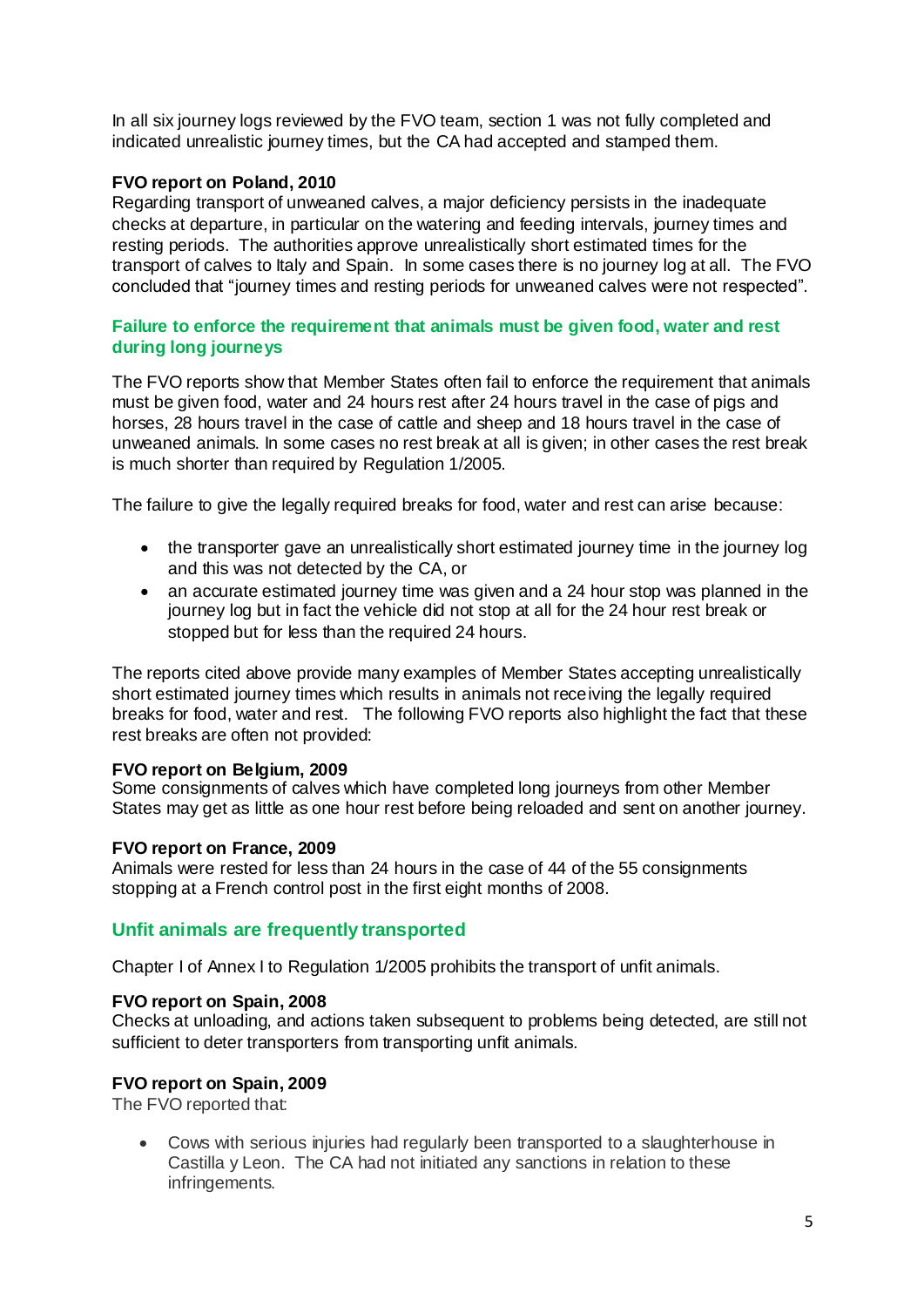In all six journey logs reviewed by the FVO team, section 1 was not fully completed and indicated unrealistic journey times, but the CA had accepted and stamped them.

# **FVO report on Poland, 2010**

Regarding transport of unweaned calves, a major deficiency persists in the inadequate checks at departure, in particular on the watering and feeding intervals, journey times and resting periods. The authorities approve unrealistically short estimated times for the transport of calves to Italy and Spain. In some cases there is no journey log at all. The FVO concluded that "journey times and resting periods for unweaned calves were not respected".

### **Failure to enforce the requirement that animals must be given food, water and rest during long journeys**

The FVO reports show that Member States often fail to enforce the requirement that animals must be given food, water and 24 hours rest after 24 hours travel in the case of pigs and horses, 28 hours travel in the case of cattle and sheep and 18 hours travel in the case of unweaned animals. In some cases no rest break at all is given; in other cases the rest break is much shorter than required by Regulation 1/2005.

The failure to give the legally required breaks for food, water and rest can arise because:

- the transporter gave an unrealistically short estimated journey time in the journey log and this was not detected by the CA, or
- an accurate estimated journey time was given and a 24 hour stop was planned in the journey log but in fact the vehicle did not stop at all for the 24 hour rest break or stopped but for less than the required 24 hours.

The reports cited above provide many examples of Member States accepting unrealistically short estimated journey times which results in animals not receiving the legally required breaks for food, water and rest. The following FVO reports also highlight the fact that these rest breaks are often not provided:

# **FVO report on Belgium, 2009**

Some consignments of calves which have completed long journeys from other Member States may get as little as one hour rest before being reloaded and sent on another journey.

# **FVO report on France, 2009**

Animals were rested for less than 24 hours in the case of 44 of the 55 consignments stopping at a French control post in the first eight months of 2008.

# **Unfit animals are frequently transported**

Chapter I of Annex I to Regulation 1/2005 prohibits the transport of unfit animals.

### **FVO report on Spain, 2008**

Checks at unloading, and actions taken subsequent to problems being detected, are still not sufficient to deter transporters from transporting unfit animals.

# **FVO report on Spain, 2009**

The FVO reported that:

 Cows with serious injuries had regularly been transported to a slaughterhouse in Castilla y Leon. The CA had not initiated any sanctions in relation to these infringements.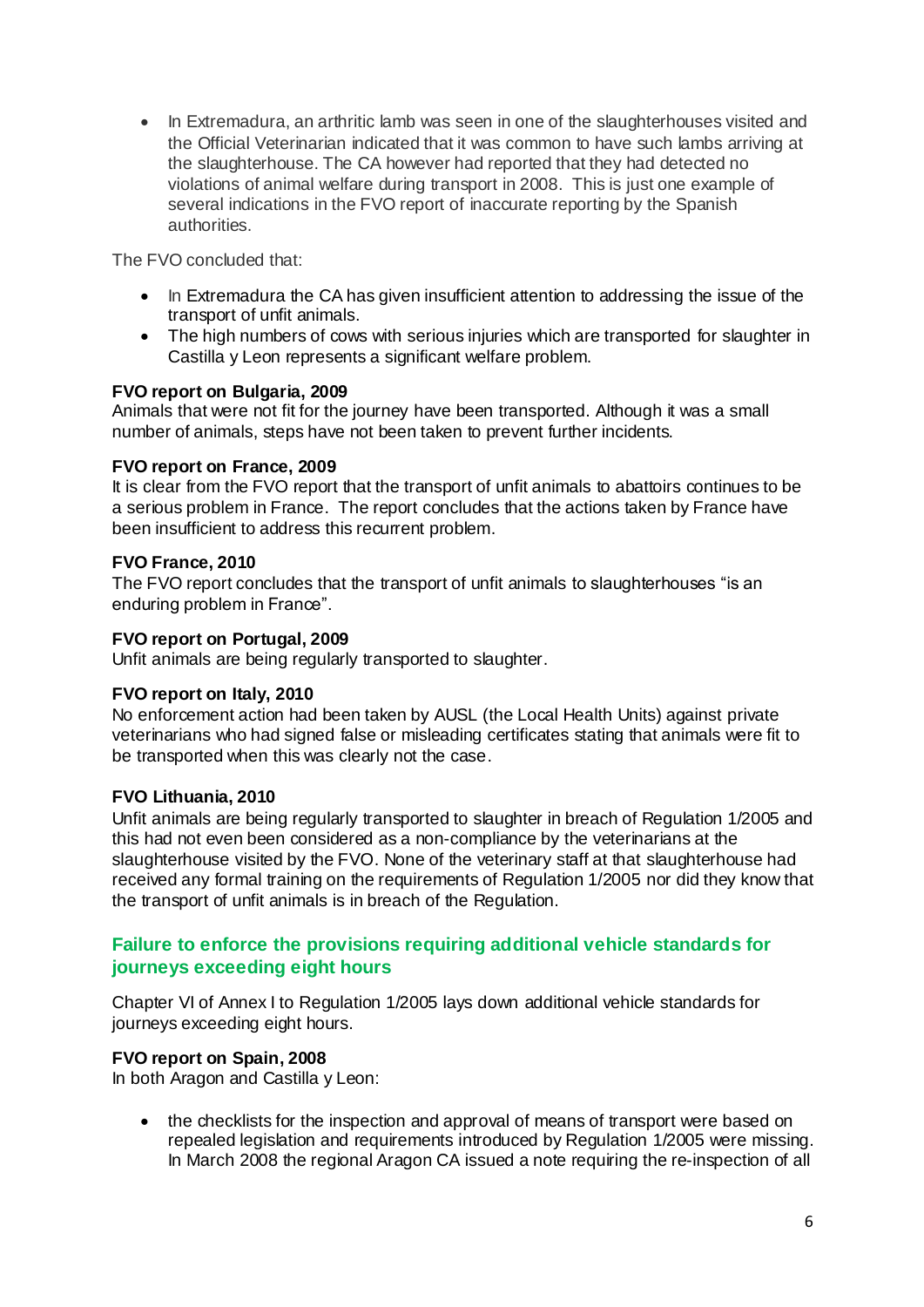• In Extremadura, an arthritic lamb was seen in one of the slaughterhouses visited and the Official Veterinarian indicated that it was common to have such lambs arriving at the slaughterhouse. The CA however had reported that they had detected no violations of animal welfare during transport in 2008. This is just one example of several indications in the FVO report of inaccurate reporting by the Spanish authorities.

The FVO concluded that:

- In Extremadura the CA has given insufficient attention to addressing the issue of the transport of unfit animals.
- The high numbers of cows with serious injuries which are transported for slaughter in Castilla y Leon represents a significant welfare problem.

### **FVO report on Bulgaria, 2009**

Animals that were not fit for the journey have been transported. Although it was a small number of animals, steps have not been taken to prevent further incidents.

### **FVO report on France, 2009**

It is clear from the FVO report that the transport of unfit animals to abattoirs continues to be a serious problem in France. The report concludes that the actions taken by France have been insufficient to address this recurrent problem.

#### **FVO France, 2010**

The FVO report concludes that the transport of unfit animals to slaughterhouses "is an enduring problem in France".

#### **FVO report on Portugal, 2009**

Unfit animals are being regularly transported to slaughter.

### **FVO report on Italy, 2010**

No enforcement action had been taken by AUSL (the Local Health Units) against private veterinarians who had signed false or misleading certificates stating that animals were fit to be transported when this was clearly not the case.

### **FVO Lithuania, 2010**

Unfit animals are being regularly transported to slaughter in breach of Regulation 1/2005 and this had not even been considered as a non-compliance by the veterinarians at the slaughterhouse visited by the FVO. None of the veterinary staff at that slaughterhouse had received any formal training on the requirements of Regulation 1/2005 nor did they know that the transport of unfit animals is in breach of the Regulation.

# **Failure to enforce the provisions requiring additional vehicle standards for journeys exceeding eight hours**

Chapter VI of Annex I to Regulation 1/2005 lays down additional vehicle standards for journeys exceeding eight hours.

### **FVO report on Spain, 2008**

In both Aragon and Castilla y Leon:

• the checklists for the inspection and approval of means of transport were based on repealed legislation and requirements introduced by Regulation 1/2005 were missing. In March 2008 the regional Aragon CA issued a note requiring the re-inspection of all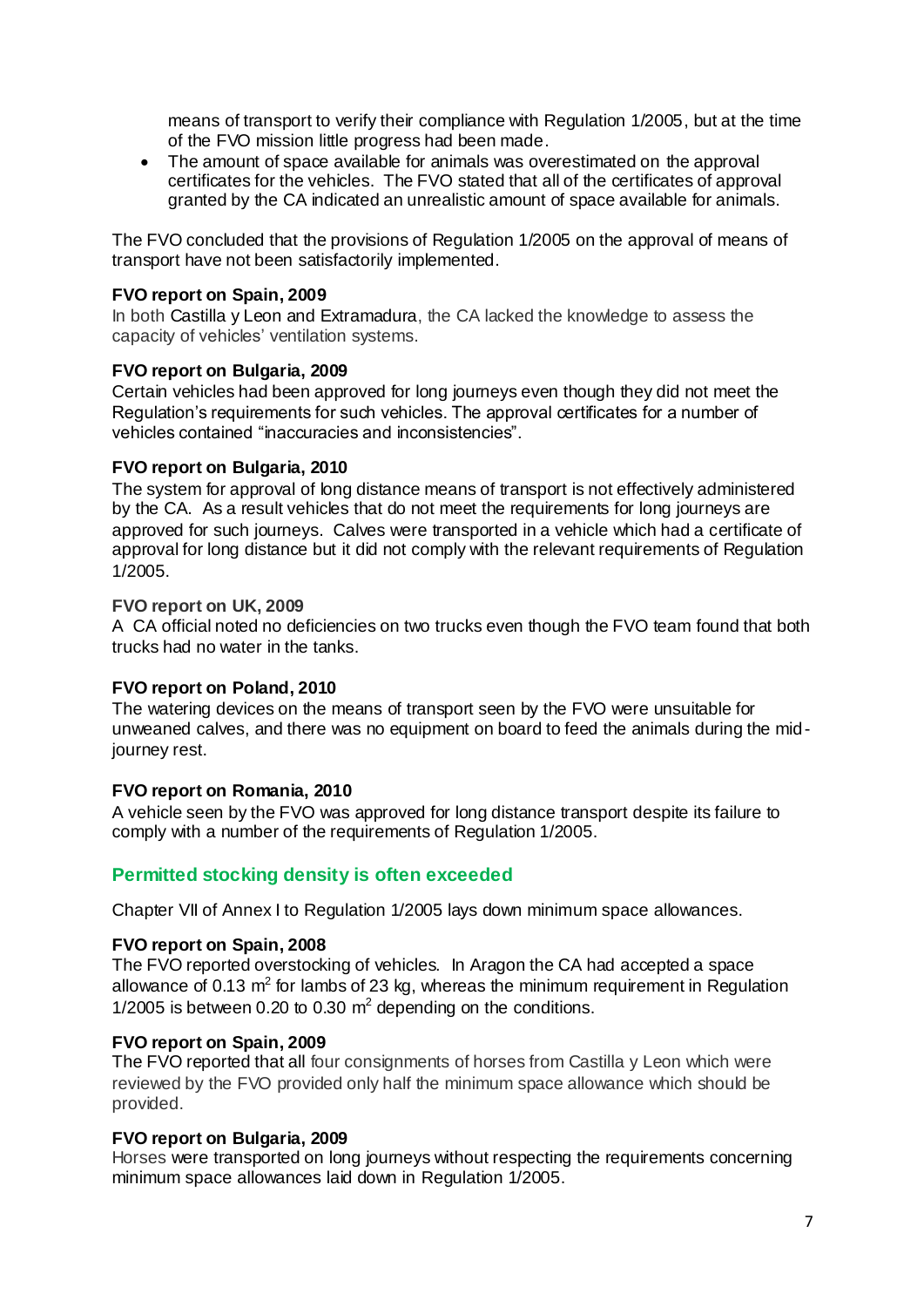means of transport to verify their compliance with Regulation 1/2005, but at the time of the FVO mission little progress had been made.

 The amount of space available for animals was overestimated on the approval certificates for the vehicles. The FVO stated that all of the certificates of approval granted by the CA indicated an unrealistic amount of space available for animals.

The FVO concluded that the provisions of Regulation 1/2005 on the approval of means of transport have not been satisfactorily implemented.

### **FVO report on Spain, 2009**

In both Castilla y Leon and Extramadura, the CA lacked the knowledge to assess the capacity of vehicles' ventilation systems.

#### **FVO report on Bulgaria, 2009**

Certain vehicles had been approved for long journeys even though they did not meet the Regulation's requirements for such vehicles. The approval certificates for a number of vehicles contained "inaccuracies and inconsistencies".

#### **FVO report on Bulgaria, 2010**

The system for approval of long distance means of transport is not effectively administered by the CA. As a result vehicles that do not meet the requirements for long journeys are approved for such journeys. Calves were transported in a vehicle which had a certificate of approval for long distance but it did not comply with the relevant requirements of Regulation 1/2005.

#### **FVO report on UK, 2009**

A CA official noted no deficiencies on two trucks even though the FVO team found that both trucks had no water in the tanks.

#### **FVO report on Poland, 2010**

The watering devices on the means of transport seen by the FVO were unsuitable for unweaned calves, and there was no equipment on board to feed the animals during the midjourney rest.

#### **FVO report on Romania, 2010**

A vehicle seen by the FVO was approved for long distance transport despite its failure to comply with a number of the requirements of Regulation 1/2005.

### **Permitted stocking density is often exceeded**

Chapter VII of Annex I to Regulation 1/2005 lays down minimum space allowances.

#### **FVO report on Spain, 2008**

The FVO reported overstocking of vehicles. In Aragon the CA had accepted a space allowance of 0.13  $m^2$  for lambs of 23 kg, whereas the minimum requirement in Regulation 1/2005 is between 0.20 to 0.30  $m^2$  depending on the conditions.

#### **FVO report on Spain, 2009**

The FVO reported that all four consignments of horses from Castilla y Leon which were reviewed by the FVO provided only half the minimum space allowance which should be provided.

#### **FVO report on Bulgaria, 2009**

Horses were transported on long journeys without respecting the requirements concerning minimum space allowances laid down in Regulation 1/2005.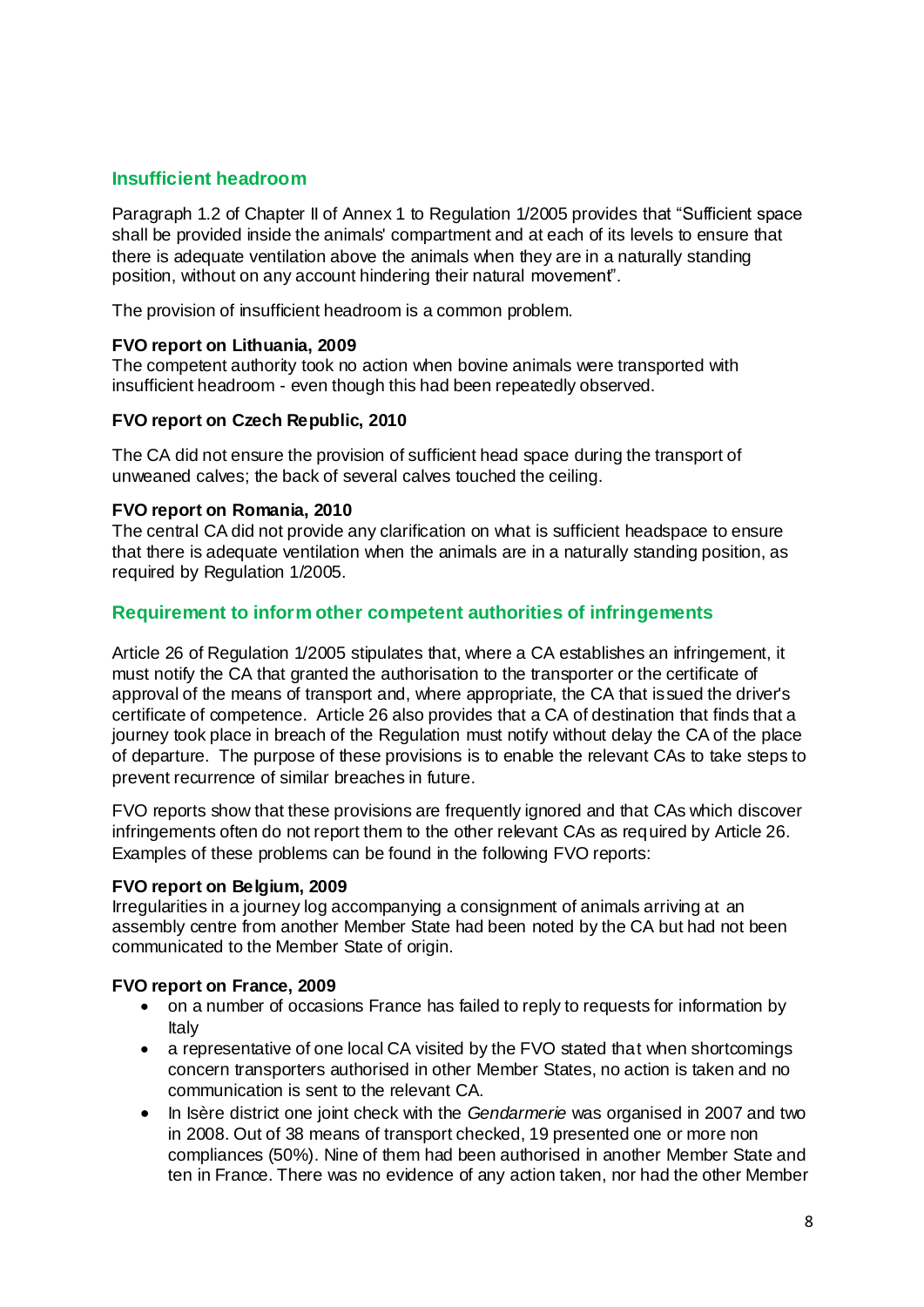# **Insufficient headroom**

Paragraph 1.2 of Chapter II of Annex 1 to Regulation 1/2005 provides that "Sufficient space shall be provided inside the animals' compartment and at each of its levels to ensure that there is adequate ventilation above the animals when they are in a naturally standing position, without on any account hindering their natural movement".

The provision of insufficient headroom is a common problem.

### **FVO report on Lithuania, 2009**

The competent authority took no action when bovine animals were transported with insufficient headroom - even though this had been repeatedly observed.

#### **FVO report on Czech Republic, 2010**

The CA did not ensure the provision of sufficient head space during the transport of unweaned calves; the back of several calves touched the ceiling.

### **FVO report on Romania, 2010**

The central CA did not provide any clarification on what is sufficient headspace to ensure that there is adequate ventilation when the animals are in a naturally standing position, as required by Regulation 1/2005.

### **Requirement to inform other competent authorities of infringements**

Article 26 of Regulation 1/2005 stipulates that, where a CA establishes an infringement, it must notify the CA that granted the authorisation to the transporter or the certificate of approval of the means of transport and, where appropriate, the CA that issued the driver's certificate of competence. Article 26 also provides that a CA of destination that finds that a journey took place in breach of the Regulation must notify without delay the CA of the place of departure. The purpose of these provisions is to enable the relevant CAs to take steps to prevent recurrence of similar breaches in future.

FVO reports show that these provisions are frequently ignored and that CAs which discover infringements often do not report them to the other relevant CAs as required by Article 26. Examples of these problems can be found in the following FVO reports:

#### **FVO report on Belgium, 2009**

Irregularities in a journey log accompanying a consignment of animals arriving at an assembly centre from another Member State had been noted by the CA but had not been communicated to the Member State of origin.

#### **FVO report on France, 2009**

- on a number of occasions France has failed to reply to requests for information by Italy
- a representative of one local CA visited by the FVO stated that when shortcomings concern transporters authorised in other Member States, no action is taken and no communication is sent to the relevant CA.
- In Isère district one joint check with the *Gendarmerie* was organised in 2007 and two in 2008. Out of 38 means of transport checked, 19 presented one or more non compliances (50%). Nine of them had been authorised in another Member State and ten in France. There was no evidence of any action taken, nor had the other Member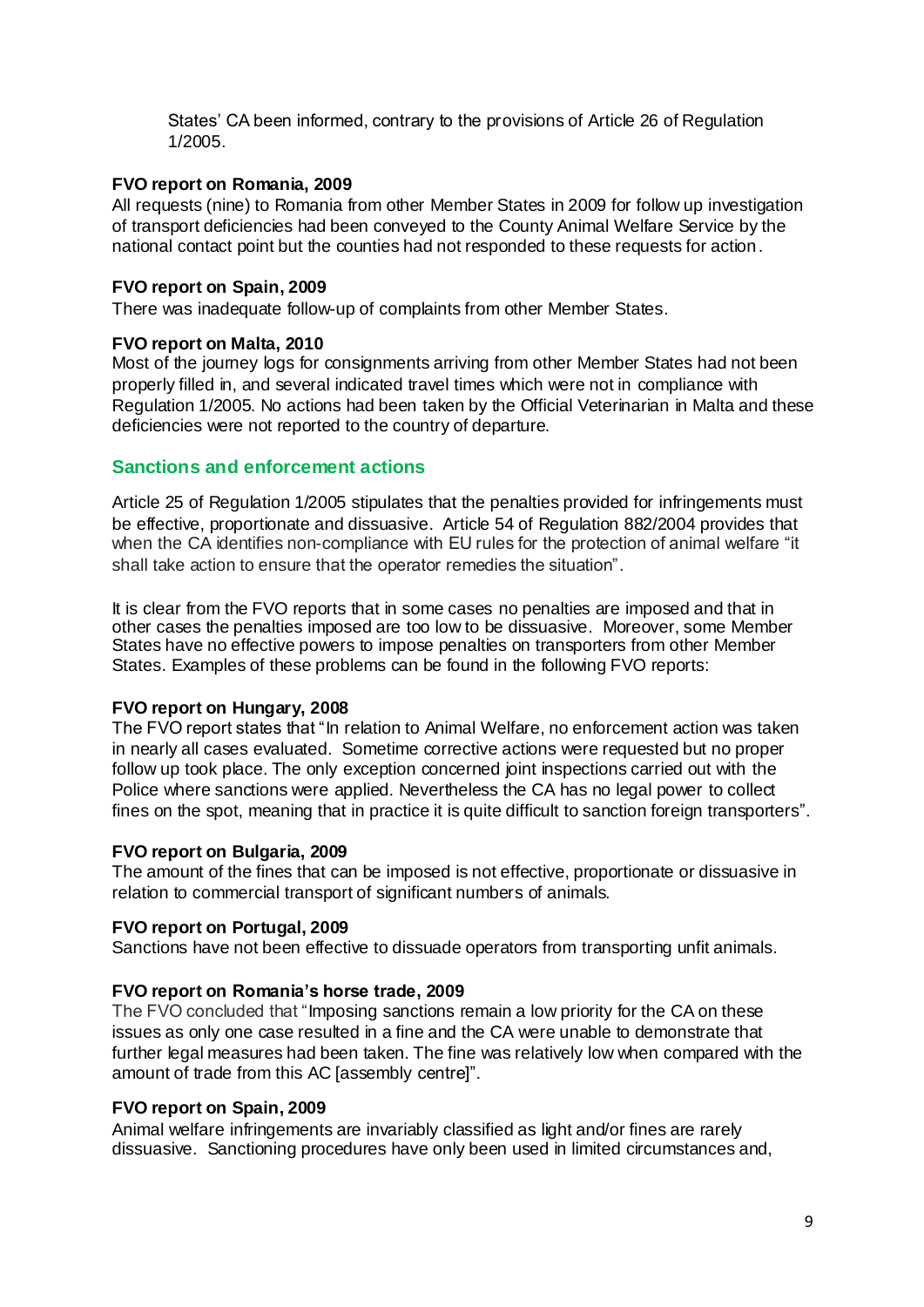States' CA been informed, contrary to the provisions of Article 26 of Regulation 1/2005.

### **FVO report on Romania, 2009**

All requests (nine) to Romania from other Member States in 2009 for follow up investigation of transport deficiencies had been conveyed to the County Animal Welfare Service by the national contact point but the counties had not responded to these requests for action.

### **FVO report on Spain, 2009**

There was inadequate follow-up of complaints from other Member States.

### **FVO report on Malta, 2010**

Most of the journey logs for consignments arriving from other Member States had not been properly filled in, and several indicated travel times which were not in compliance with Regulation 1/2005. No actions had been taken by the Official Veterinarian in Malta and these deficiencies were not reported to the country of departure.

### **Sanctions and enforcement actions**

Article 25 of Regulation 1/2005 stipulates that the penalties provided for infringements must be effective, proportionate and dissuasive. Article 54 of Regulation 882/2004 provides that when the CA identifies non-compliance with EU rules for the protection of animal welfare "it shall take action to ensure that the operator remedies the situation".

It is clear from the FVO reports that in some cases no penalties are imposed and that in other cases the penalties imposed are too low to be dissuasive. Moreover, some Member States have no effective powers to impose penalties on transporters from other Member States. Examples of these problems can be found in the following FVO reports:

### **FVO report on Hungary, 2008**

The FVO report states that "In relation to Animal Welfare, no enforcement action was taken in nearly all cases evaluated. Sometime corrective actions were requested but no proper follow up took place. The only exception concerned joint inspections carried out with the Police where sanctions were applied. Nevertheless the CA has no legal power to collect fines on the spot, meaning that in practice it is quite difficult to sanction foreign transporters".

### **FVO report on Bulgaria, 2009**

The amount of the fines that can be imposed is not effective, proportionate or dissuasive in relation to commercial transport of significant numbers of animals.

### **FVO report on Portugal, 2009**

Sanctions have not been effective to dissuade operators from transporting unfit animals.

### **FVO report on Romania's horse trade, 2009**

The FVO concluded that "Imposing sanctions remain a low priority for the CA on these issues as only one case resulted in a fine and the CA were unable to demonstrate that further legal measures had been taken. The fine was relatively low when compared with the amount of trade from this AC [assembly centre]".

### **FVO report on Spain, 2009**

Animal welfare infringements are invariably classified as light and/or fines are rarely dissuasive. Sanctioning procedures have only been used in limited circumstances and,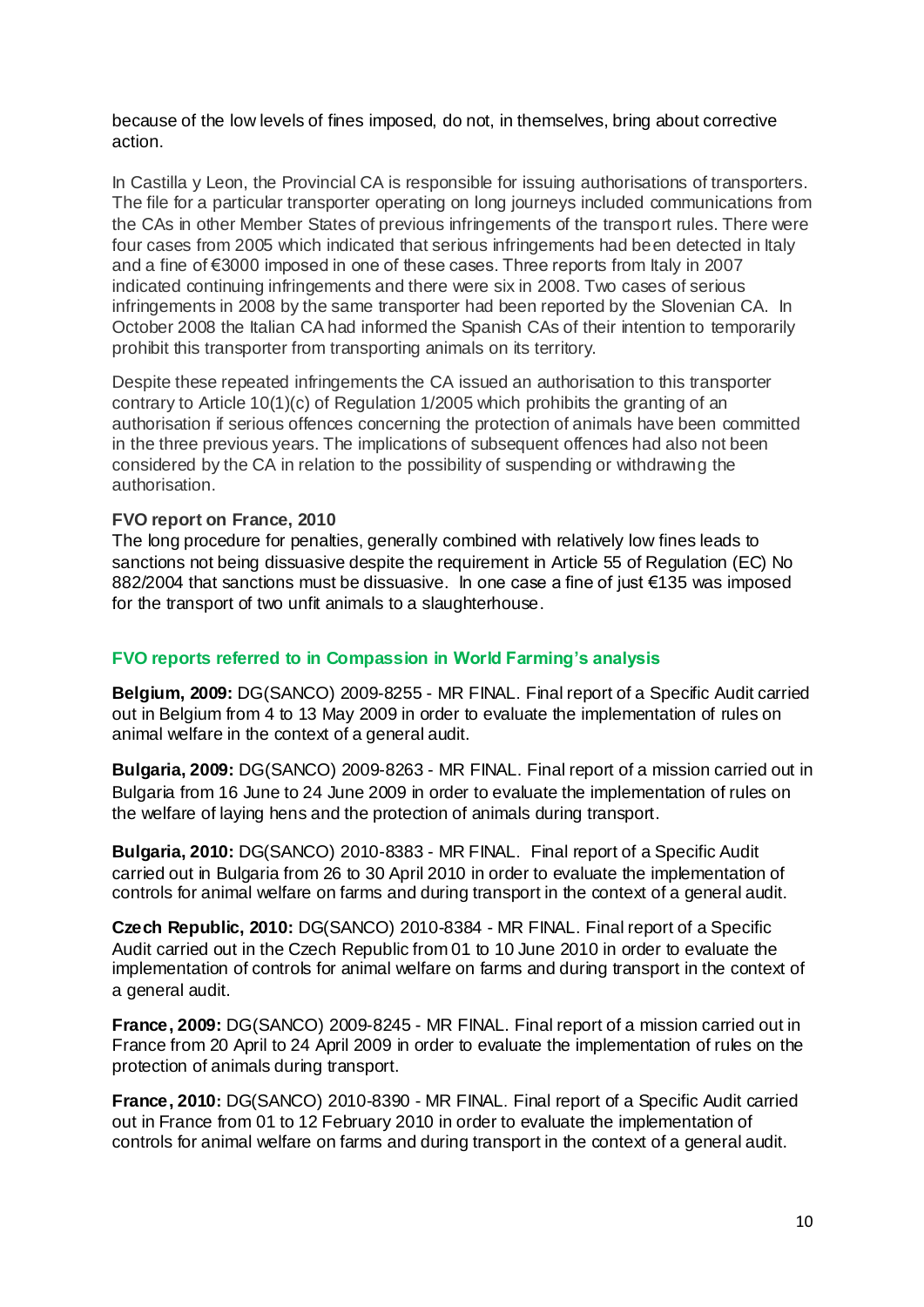because of the low levels of fines imposed, do not, in themselves, bring about corrective action.

In Castilla y Leon, the Provincial CA is responsible for issuing authorisations of transporters. The file for a particular transporter operating on long journeys included communications from the CAs in other Member States of previous infringements of the transport rules. There were four cases from 2005 which indicated that serious infringements had been detected in Italy and a fine of €3000 imposed in one of these cases. Three reports from Italy in 2007 indicated continuing infringements and there were six in 2008. Two cases of serious infringements in 2008 by the same transporter had been reported by the Slovenian CA. In October 2008 the Italian CA had informed the Spanish CAs of their intention to temporarily prohibit this transporter from transporting animals on its territory.

Despite these repeated infringements the CA issued an authorisation to this transporter contrary to Article 10(1)(c) of Regulation 1/2005 which prohibits the granting of an authorisation if serious offences concerning the protection of animals have been committed in the three previous years. The implications of subsequent offences had also not been considered by the CA in relation to the possibility of suspending or withdrawing the authorisation.

### **FVO report on France, 2010**

The long procedure for penalties, generally combined with relatively low fines leads to sanctions not being dissuasive despite the requirement in Article 55 of Regulation (EC) No 882/2004 that sanctions must be dissuasive. In one case a fine of just €135 was imposed for the transport of two unfit animals to a slaughterhouse.

### **FVO reports referred to in Compassion in World Farming's analysis**

**Belgium, 2009:** DG(SANCO) 2009-8255 - MR FINAL. Final report of a Specific Audit carried out in Belgium from 4 to 13 May 2009 in order to evaluate the implementation of rules on animal welfare in the context of a general audit.

**Bulgaria, 2009:** DG(SANCO) 2009-8263 - MR FINAL. Final report of a mission carried out in Bulgaria from 16 June to 24 June 2009 in order to evaluate the implementation of rules on the welfare of laying hens and the protection of animals during transport.

**Bulgaria, 2010:** DG(SANCO) 2010-8383 - MR FINAL. Final report of a Specific Audit carried out in Bulgaria from 26 to 30 April 2010 in order to evaluate the implementation of controls for animal welfare on farms and during transport in the context of a general audit.

**Czech Republic, 2010:** DG(SANCO) 2010-8384 - MR FINAL. Final report of a Specific Audit carried out in the Czech Republic from 01 to 10 June 2010 in order to evaluate the implementation of controls for animal welfare on farms and during transport in the context of a general audit.

**France, 2009:** DG(SANCO) 2009-8245 - MR FINAL. Final report of a mission carried out in France from 20 April to 24 April 2009 in order to evaluate the implementation of rules on the protection of animals during transport.

**France, 2010:** DG(SANCO) 2010-8390 - MR FINAL. Final report of a Specific Audit carried out in France from 01 to 12 February 2010 in order to evaluate the implementation of controls for animal welfare on farms and during transport in the context of a general audit.